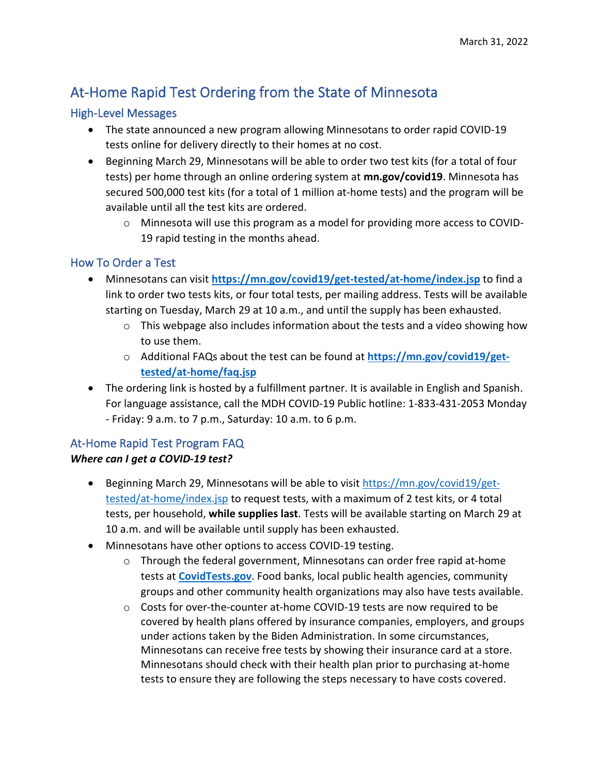# At-Home Rapid Test Ordering from the State of Minnesota

# High-Level Messages

- The state announced a new program allowing Minnesotans to order rapid COVID-19 tests online for delivery directly to their homes at no cost.
- Beginning March 29, Minnesotans will be able to order two test kits (for a total of four tests) per home through an online ordering system at **mn.gov/covid19**. Minnesota has secured 500,000 test kits (for a total of 1 million at-home tests) and the program will be available until all the test kits are ordered.
	- o Minnesota will use this program as a model for providing more access to COVID-19 rapid testing in the months ahead.

# How To Order a Test

- Minnesotans can visit **<https://mn.gov/covid19/get-tested/at-home/index.jsp>** to find a link to order two tests kits, or four total tests, per mailing address. Tests will be available starting on Tuesday, March 29 at 10 a.m., and until the supply has been exhausted.
	- $\circ$  This webpage also includes information about the tests and a video showing how to use them.
	- o Additional FAQs about the test can be found at **[https://mn.gov/covid19/get](https://mn.gov/covid19/get-tested/at-home/faq.jsp)[tested/at-home/faq.jsp](https://mn.gov/covid19/get-tested/at-home/faq.jsp)**
- The ordering link is hosted by a fulfillment partner. It is available in English and Spanish. For language assistance, call the MDH COVID-19 Public hotline: 1-833-431-2053 Monday - Friday: 9 a.m. to 7 p.m., Saturday: 10 a.m. to 6 p.m.

# At-Home Rapid Test Program FAQ

# *Where can I get a COVID-19 test?*

- Beginning March 29, Minnesotans will be able to visit [https://mn.gov/covid19/get](https://mn.gov/covid19/get-tested/at-home/index.jsp)[tested/at-home/index.jsp](https://mn.gov/covid19/get-tested/at-home/index.jsp) to request tests, with a maximum of 2 test kits, or 4 total tests, per household, **while supplies last**. Tests will be available starting on March 29 at 10 a.m. and will be available until supply has been exhausted.
- Minnesotans have other options to access COVID-19 testing.
	- $\circ$  Through the federal government, Minnesotans can order free rapid at-home tests at **[CovidTests.gov](http://www.covidtests.gov/)**. Food banks, local public health agencies, community groups and other community health organizations may also have tests available.
	- $\circ$  Costs for over-the-counter at-home COVID-19 tests are now required to be covered by health plans offered by insurance companies, employers, and groups under actions taken by the Biden Administration. In some circumstances, Minnesotans can receive free tests by showing their insurance card at a store. Minnesotans should check with their health plan prior to purchasing at-home tests to ensure they are following the steps necessary to have costs covered.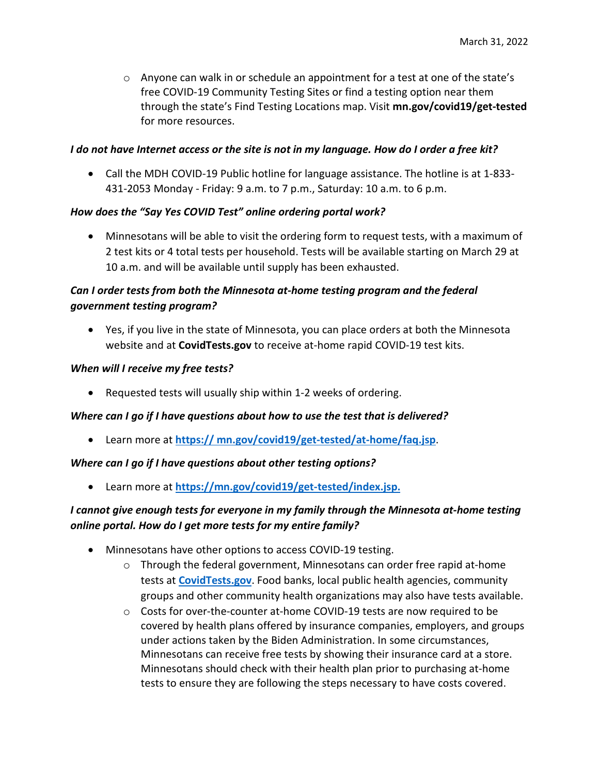$\circ$  Anyone can walk in or schedule an appointment for a test at one of the state's free COVID-19 Community Testing Sites or find a testing option near them through the state's Find Testing Locations map. Visit **mn.gov/covid19/get-tested** for more resources.

## *I do not have Internet access or the site is not in my language. How do I order a free kit?*

• Call the MDH COVID-19 Public hotline for language assistance. The hotline is at 1-833-431-2053 Monday - Friday: 9 a.m. to 7 p.m., Saturday: 10 a.m. to 6 p.m.

## *How does the "Say Yes COVID Test" online ordering portal work?*

• Minnesotans will be able to visit the ordering form to request tests, with a maximum of 2 test kits or 4 total tests per household. Tests will be available starting on March 29 at 10 a.m. and will be available until supply has been exhausted.

# *Can I order tests from both the Minnesota at-home testing program and the federal government testing program?*

• Yes, if you live in the state of Minnesota, you can place orders at both the Minnesota website and at **CovidTests.gov** to receive at-home rapid COVID-19 test kits.

#### *When will I receive my free tests?*

• Requested tests will usually ship within 1-2 weeks of ordering.

## *Where can I go if I have questions about how to use the test that is delivered?*

• Learn more at **[https:// mn.gov/covid19/get-tested/at-home/faq.jsp](https://mn.gov/covid19/get-tested/at-home/faq.jsp)**.

#### *Where can I go if I have questions about other testing options?*

• Learn more at **[https://mn.gov/covid19/get-tested/index.jsp.](https://mn.gov/covid19/get-tested/index.jsp)**

## *I cannot give enough tests for everyone in my family through the Minnesota at-home testing online portal. How do I get more tests for my entire family?*

- Minnesotans have other options to access COVID-19 testing.
	- $\circ$  Through the federal government, Minnesotans can order free rapid at-home tests at **[CovidTests.gov](http://www.covidtests.gov/)**. Food banks, local public health agencies, community groups and other community health organizations may also have tests available.
	- $\circ$  Costs for over-the-counter at-home COVID-19 tests are now required to be covered by health plans offered by insurance companies, employers, and groups under actions taken by the Biden Administration. In some circumstances, Minnesotans can receive free tests by showing their insurance card at a store. Minnesotans should check with their health plan prior to purchasing at-home tests to ensure they are following the steps necessary to have costs covered.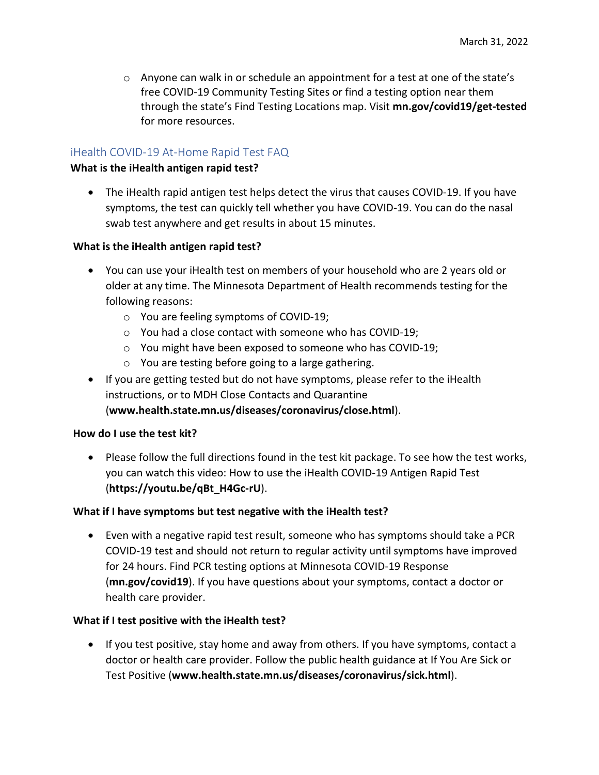$\circ$  Anyone can walk in or schedule an appointment for a test at one of the state's free COVID-19 Community Testing Sites or find a testing option near them through the state's Find Testing Locations map. Visit **mn.gov/covid19/get-tested** for more resources.

## iHealth COVID-19 At-Home Rapid Test FAQ

#### **What is the iHealth antigen rapid test?**

• The iHealth rapid antigen test helps detect the virus that causes COVID-19. If you have symptoms, the test can quickly tell whether you have COVID-19. You can do the nasal swab test anywhere and get results in about 15 minutes.

#### **What is the iHealth antigen rapid test?**

- You can use your iHealth test on members of your household who are 2 years old or older at any time. The Minnesota Department of Health recommends testing for the following reasons:
	- o You are feeling symptoms of COVID-19;
	- o You had a close contact with someone who has COVID-19;
	- o You might have been exposed to someone who has COVID-19;
	- o You are testing before going to a large gathering.
- If you are getting tested but do not have symptoms, please refer to the iHealth instructions, or to MDH Close Contacts and Quarantine (**www.health.state.mn.us/diseases/coronavirus/close.html**).

#### **How do I use the test kit?**

• Please follow the full directions found in the test kit package. To see how the test works, you can watch this video: How to use the iHealth COVID-19 Antigen Rapid Test (**https://youtu.be/qBt\_H4Gc-rU**).

#### **What if I have symptoms but test negative with the iHealth test?**

• Even with a negative rapid test result, someone who has symptoms should take a PCR COVID-19 test and should not return to regular activity until symptoms have improved for 24 hours. Find PCR testing options at Minnesota COVID-19 Response (**mn.gov/covid19**). If you have questions about your symptoms, contact a doctor or health care provider.

#### **What if I test positive with the iHealth test?**

• If you test positive, stay home and away from others. If you have symptoms, contact a doctor or health care provider. Follow the public health guidance at If You Are Sick or Test Positive (**www.health.state.mn.us/diseases/coronavirus/sick.html**).